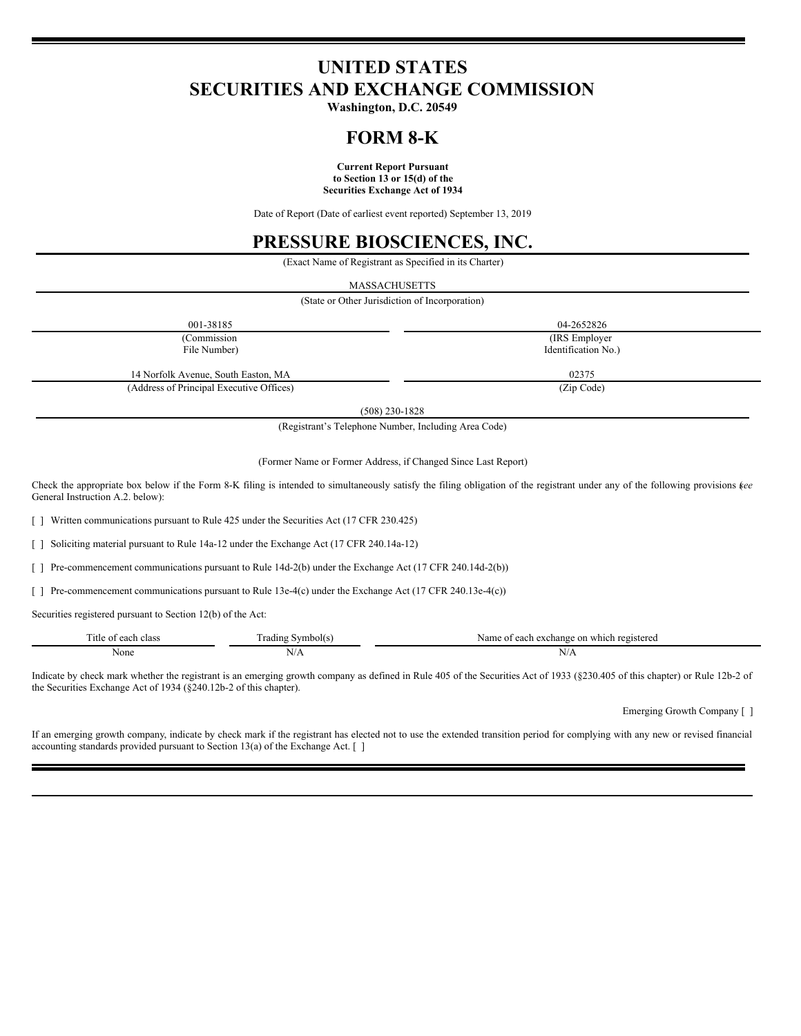## **UNITED STATES SECURITIES AND EXCHANGE COMMISSION**

**Washington, D.C. 20549**

## **FORM 8-K**

**Current Report Pursuant to Section 13 or 15(d) of the Securities Exchange Act of 1934**

Date of Report (Date of earliest event reported) September 13, 2019

# **PRESSURE BIOSCIENCES, INC.**

(Exact Name of Registrant as Specified in its Charter)

| (Exact ivality of Registrant as Specifica in its Charter) |                     |  |
|-----------------------------------------------------------|---------------------|--|
| <b>MASSACHUSETTS</b>                                      |                     |  |
| (State or Other Jurisdiction of Incorporation)            |                     |  |
| 001-38185                                                 | 04-2652826          |  |
| (Commission                                               | (IRS Employer)      |  |
| File Number)                                              | Identification No.) |  |
| 14 Norfolk Avenue, South Easton, MA                       | 02375               |  |
| (Address of Principal Executive Offices)                  | (Zip Code)          |  |

(508) 230-1828

(Registrant's Telephone Number, Including Area Code)

(Former Name or Former Address, if Changed Since Last Report)

Check the appropriate box below if the Form 8-K filing is intended to simultaneously satisfy the filing obligation of the registrant under any of the following provisions (*see* General Instruction A.2. below):

[ ] Written communications pursuant to Rule 425 under the Securities Act (17 CFR 230.425)

[ ] Soliciting material pursuant to Rule 14a-12 under the Exchange Act (17 CFR 240.14a-12)

[ ] Pre-commencement communications pursuant to Rule 14d-2(b) under the Exchange Act (17 CFR 240.14d-2(b))

[ ] Pre-commencement communications pursuant to Rule 13e-4(c) under the Exchange Act (17 CFR 240.13e-4(c))

Securities registered pursuant to Section 12(b) of the Act:

| l itle<br>each<br>class<br>$^{\sim}$<br>$\cdots$ | rading<br>Nymbol(5) | . exchange<br>Name<br>ı which<br>registered<br>-on<br>$\Delta$<br>$\sim$ |
|--------------------------------------------------|---------------------|--------------------------------------------------------------------------|
| Non,                                             | N<br>. <i>.</i>     | 19/T <sub>2</sub>                                                        |

Indicate by check mark whether the registrant is an emerging growth company as defined in Rule 405 of the Securities Act of 1933 (§230.405 of this chapter) or Rule 12b-2 of the Securities Exchange Act of 1934 (§240.12b-2 of this chapter).

Emerging Growth Company [ ]

If an emerging growth company, indicate by check mark if the registrant has elected not to use the extended transition period for complying with any new or revised financial accounting standards provided pursuant to Section 13(a) of the Exchange Act.  $\lceil$   $\rceil$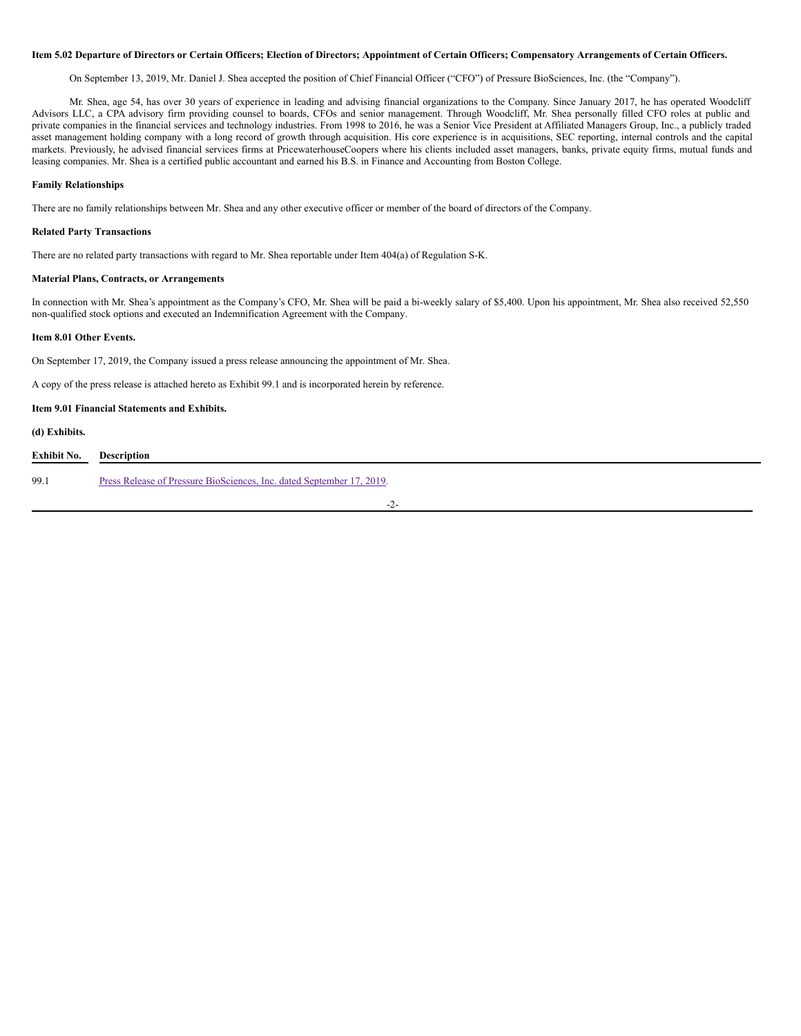## Item 5.02 Departure of Directors or Certain Officers; Election of Directors; Appointment of Certain Officers; Compensatory Arrangements of Certain Officers.

On September 13, 2019, Mr. Daniel J. Shea accepted the position of Chief Financial Officer ("CFO") of Pressure BioSciences, Inc. (the "Company").

Mr. Shea, age 54, has over 30 years of experience in leading and advising financial organizations to the Company. Since January 2017, he has operated Woodcliff Advisors LLC, a CPA advisory firm providing counsel to boards, CFOs and senior management. Through Woodcliff, Mr. Shea personally filled CFO roles at public and private companies in the financial services and technology industries. From 1998 to 2016, he was a Senior Vice President at Affiliated Managers Group, Inc., a publicly traded asset management holding company with a long record of growth through acquisition. His core experience is in acquisitions, SEC reporting, internal controls and the capital markets. Previously, he advised financial services firms at PricewaterhouseCoopers where his clients included asset managers, banks, private equity firms, mutual funds and leasing companies. Mr. Shea is a certified public accountant and earned his B.S. in Finance and Accounting from Boston College.

## **Family Relationships**

There are no family relationships between Mr. Shea and any other executive officer or member of the board of directors of the Company.

#### **Related Party Transactions**

There are no related party transactions with regard to Mr. Shea reportable under Item 404(a) of Regulation S-K.

## **Material Plans, Contracts, or Arrangements**

In connection with Mr. Shea's appointment as the Company's CFO, Mr. Shea will be paid a bi-weekly salary of \$5,400. Upon his appointment, Mr. Shea also received 52,550 non-qualified stock options and executed an Indemnification Agreement with the Company.

## **Item 8.01 Other Events.**

On September 17, 2019, the Company issued a press release announcing the appointment of Mr. Shea.

A copy of the press release is attached hereto as Exhibit 99.1 and is incorporated herein by reference.

**Item 9.01 Financial Statements and Exhibits.**

## **(d) Exhibits.**

| Exhibit No. | Description                                                           |
|-------------|-----------------------------------------------------------------------|
| 99.1        | Press Release of Pressure BioSciences, Inc. dated September 17, 2019. |
|             |                                                                       |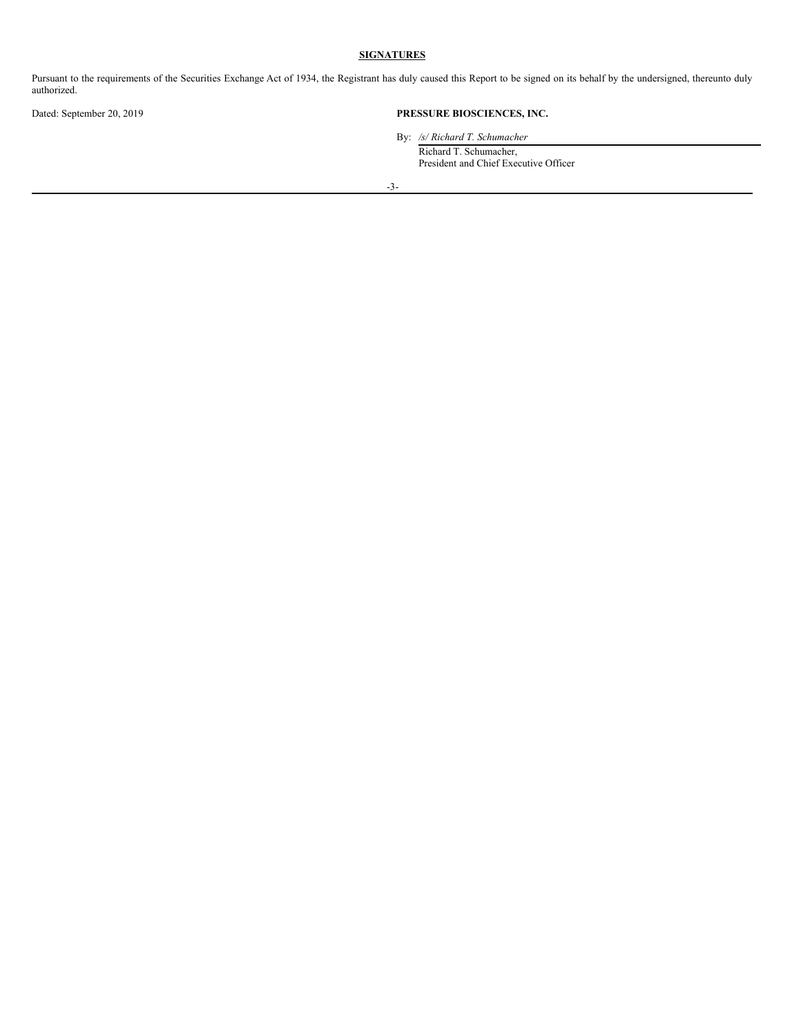## **SIGNATURES**

Pursuant to the requirements of the Securities Exchange Act of 1934, the Registrant has duly caused this Report to be signed on its behalf by the undersigned, thereunto duly authorized.

## Dated: September 20, 2019 **PRESSURE BIOSCIENCES, INC.**

By: */s/ Richard T. Schumacher*

Richard T. Schumacher, President and Chief Executive Officer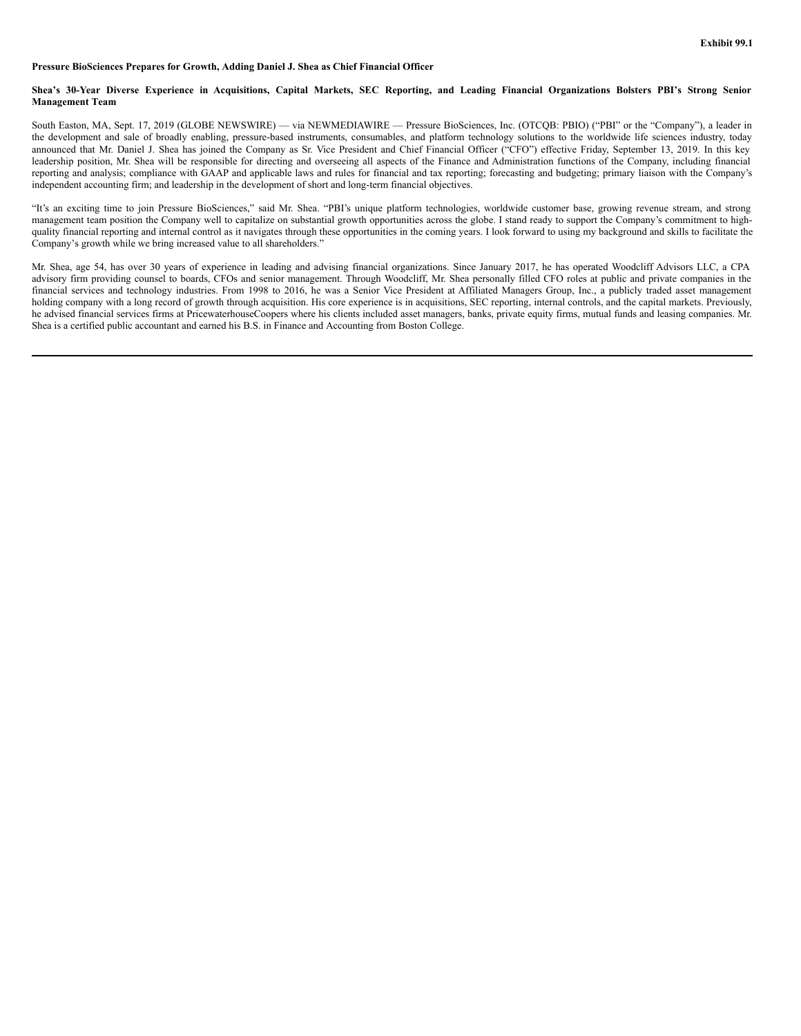#### **Pressure BioSciences Prepares for Growth, Adding Daniel J. Shea as Chief Financial Officer**

#### Shea's 30-Year Diverse Experience in Acquisitions, Capital Markets, SEC Reporting, and Leading Financial Organizations Bolsters PBI's Strong Senior **Management Team**

South Easton, MA, Sept. 17, 2019 (GLOBE NEWSWIRE) — via NEWMEDIAWIRE — Pressure BioSciences, Inc. (OTCQB: PBIO) ("PBI" or the "Company"), a leader in the development and sale of broadly enabling, pressure-based instruments, consumables, and platform technology solutions to the worldwide life sciences industry, today announced that Mr. Daniel J. Shea has joined the Company as Sr. Vice President and Chief Financial Officer ("CFO") effective Friday, September 13, 2019. In this key leadership position, Mr. Shea will be responsible for directing and overseeing all aspects of the Finance and Administration functions of the Company, including financial reporting and analysis; compliance with GAAP and applicable laws and rules for financial and tax reporting; forecasting and budgeting; primary liaison with the Company's independent accounting firm; and leadership in the development of short and long-term financial objectives.

"It's an exciting time to join Pressure BioSciences," said Mr. Shea. "PBI's unique platform technologies, worldwide customer base, growing revenue stream, and strong management team position the Company well to capitalize on substantial growth opportunities across the globe. I stand ready to support the Company's commitment to highquality financial reporting and internal control as it navigates through these opportunities in the coming years. I look forward to using my background and skills to facilitate the Company's growth while we bring increased value to all shareholders."

Mr. Shea, age 54, has over 30 years of experience in leading and advising financial organizations. Since January 2017, he has operated Woodcliff Advisors LLC, a CPA advisory firm providing counsel to boards, CFOs and senior management. Through Woodcliff, Mr. Shea personally filled CFO roles at public and private companies in the financial services and technology industries. From 1998 to 2016, he was a Senior Vice President at Affiliated Managers Group, Inc., a publicly traded asset management holding company with a long record of growth through acquisition. His core experience is in acquisitions, SEC reporting, internal controls, and the capital markets. Previously, he advised financial services firms at PricewaterhouseCoopers where his clients included asset managers, banks, private equity firms, mutual funds and leasing companies. Mr. Shea is a certified public accountant and earned his B.S. in Finance and Accounting from Boston College.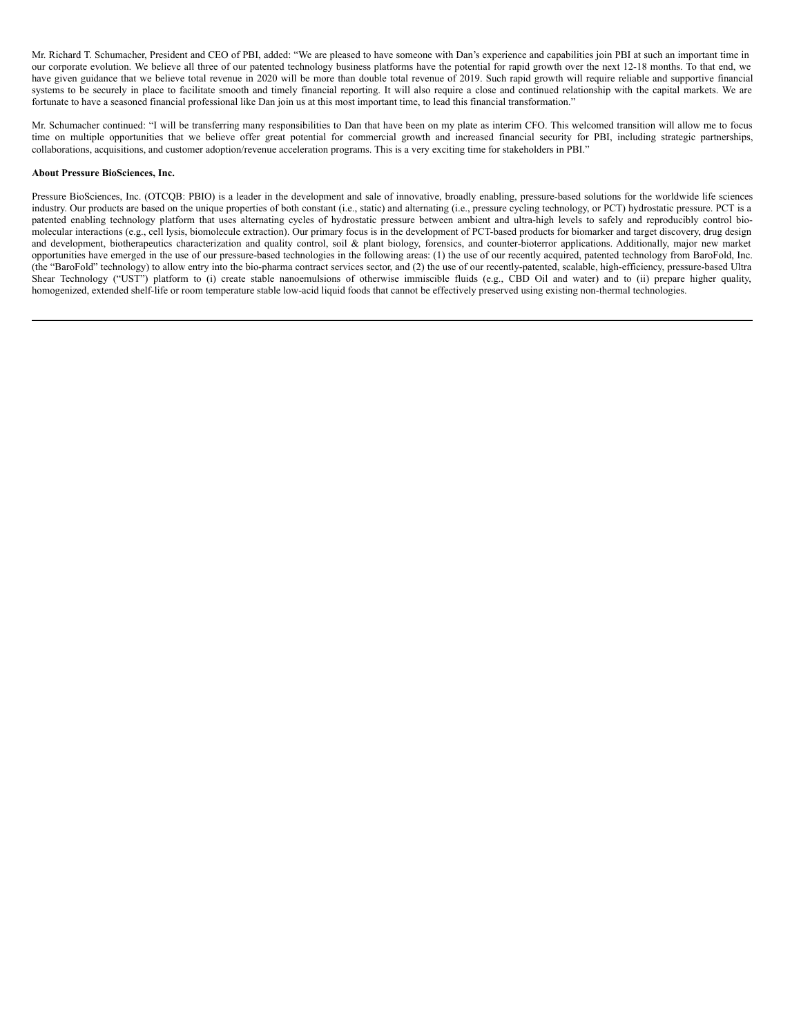<span id="page-5-0"></span>Mr. Richard T. Schumacher, President and CEO of PBI, added: "We are pleased to have someone with Dan's experience and capabilities join PBI at such an important time in our corporate evolution. We believe all three of our patented technology business platforms have the potential for rapid growth over the next 12-18 months. To that end, we have given guidance that we believe total revenue in 2020 will be more than double total revenue of 2019. Such rapid growth will require reliable and supportive financial systems to be securely in place to facilitate smooth and timely financial reporting. It will also require a close and continued relationship with the capital markets. We are fortunate to have a seasoned financial professional like Dan join us at this most important time, to lead this financial transformation."

Mr. Schumacher continued: "I will be transferring many responsibilities to Dan that have been on my plate as interim CFO. This welcomed transition will allow me to focus time on multiple opportunities that we believe offer great potential for commercial growth and increased financial security for PBI, including strategic partnerships, collaborations, acquisitions, and customer adoption/revenue acceleration programs. This is a very exciting time for stakeholders in PBI."

## **About Pressure BioSciences, Inc.**

Pressure BioSciences, Inc. (OTCQB: PBIO) is a leader in the development and sale of innovative, broadly enabling, pressure-based solutions for the worldwide life sciences industry. Our products are based on the unique properties of both constant (i.e., static) and alternating (i.e., pressure cycling technology, or PCT) hydrostatic pressure. PCT is a patented enabling technology platform that uses alternating cycles of hydrostatic pressure between ambient and ultra-high levels to safely and reproducibly control biomolecular interactions (e.g., cell lysis, biomolecule extraction). Our primary focus is in the development of PCT-based products for biomarker and target discovery, drug design and development, biotherapeutics characterization and quality control, soil & plant biology, forensics, and counter-bioterror applications. Additionally, major new market opportunities have emerged in the use of our pressure-based technologies in the following areas: (1) the use of our recently acquired, patented technology from BaroFold, Inc. (the "BaroFold" technology) to allow entry into the bio-pharma contract services sector, and (2) the use of our recently-patented, scalable, high-efficiency, pressure-based Ultra Shear Technology ("UST") platform to (i) create stable nanoemulsions of otherwise immiscible fluids (e.g., CBD Oil and water) and to (ii) prepare higher quality, homogenized, extended shelf-life or room temperature stable low-acid liquid foods that cannot be effectively preserved using existing non-thermal technologies.